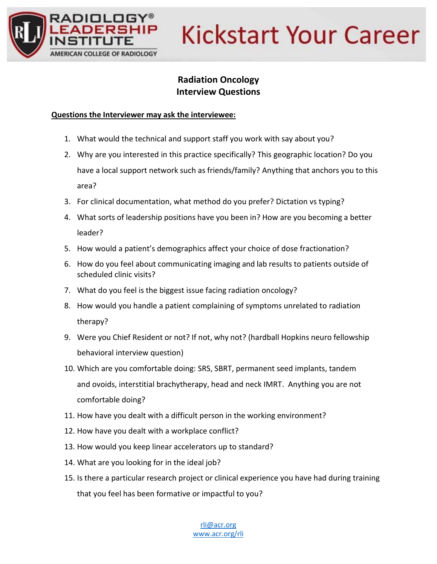

# **Kickstart Your Career**

### **Radiation Oncology Interview Questions**

### **Questions the Interviewer may ask the interviewee:**

- 1. What would the technical and support staff you work with say about you?
- 2. Why are you interested in this practice specifically? This geographic location? Do you have a local support network such as friends/family? Anything that anchors you to this area?
- 3. For clinical documentation, what method do you prefer? Dictation vs typing?
- 4. What sorts of leadership positions have you been in? How are you becoming a better leader?
- 5. How would a patient's demographics affect your choice of dose fractionation?
- 6. How do you feel about communicating imaging and lab results to patients outside of scheduled clinic visits?
- 7. What do you feel is the biggest issue facing radiation oncology?
- 8. How would you handle a patient complaining of symptoms unrelated to radiation therapy?
- 9. Were you Chief Resident or not? If not, why not? (hardball Hopkins neuro fellowship behavioral interview question)
- 10. Which are you comfortable doing: SRS, SBRT, permanent seed implants, tandem and ovoids, interstitial brachytherapy, head and neck IMRT. Anything you are not comfortable doing?
- 11. How have you dealt with a difficult person in the working environment?
- 12. How have you dealt with a workplace conflict?
- 13. How would you keep linear accelerators up to standard?
- 14. What are you looking for in the ideal job?
- 15. Is there a particular research project or clinical experience you have had during training that you feel has been formative or impactful to you?

[rli@acr.org](mailto:rli@acr.org) [www.acr.org/rli](http://www.acr.org/rli)